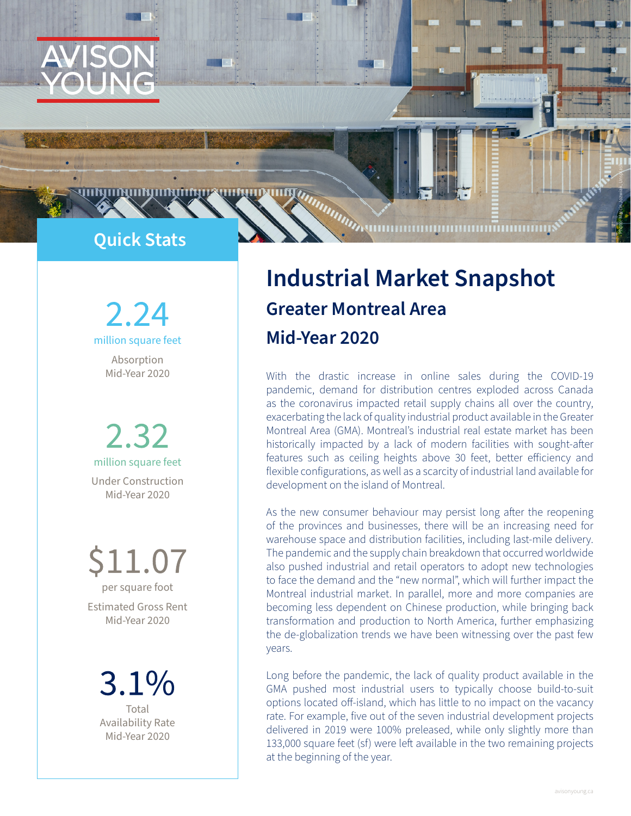

**AUSTRALIAN CONTRACT AND AUSTRALIAN CONTRACT ON AUSTRALIAN CONTRACT ON AUSTRALIAN CONTRACT ON AUSTRALIAN CONTRACT ON AUSTRALIAN CONTRACT ON AUSTRALIAN CONTRACT ON AUSTRALIAN CONTRACT ON AUSTRALIAN CONTRACT ON AUSTRALIAN CO** 

2.24 million square feet

Absorption Mid-Year 2020

2.32 million square feet Under Construction Mid-Year 2020

.1.07 per square foot Estimated Gross Rent

Mid-Year 2020

3.1% Total Availability Rate Mid-Year 2020

# **Industrial Market Snapshot Greater Montreal Area Mid-Year 2020**

With the drastic increase in online sales during the COVID-19 pandemic, demand for distribution centres exploded across Canada as the coronavirus impacted retail supply chains all over the country, exacerbating the lack of quality industrial product available in the Greater Montreal Area (GMA). Montreal's industrial real estate market has been historically impacted by a lack of modern facilities with sought-after features such as ceiling heights above 30 feet, better efficiency and flexible configurations, as well as a scarcity of industrial land available for development on the island of Montreal.

As the new consumer behaviour may persist long after the reopening of the provinces and businesses, there will be an increasing need for warehouse space and distribution facilities, including last-mile delivery. The pandemic and the supply chain breakdown that occurred worldwide also pushed industrial and retail operators to adopt new technologies to face the demand and the "new normal", which will further impact the Montreal industrial market. In parallel, more and more companies are becoming less dependent on Chinese production, while bringing back transformation and production to North America, further emphasizing the de-globalization trends we have been witnessing over the past few years.

Long before the pandemic, the lack of quality product available in the GMA pushed most industrial users to typically choose build-to-suit options located off-island, which has little to no impact on the vacancy rate. For example, five out of the seven industrial development projects delivered in 2019 were 100% preleased, while only slightly more than 133,000 square feet (sf) were left available in the two remaining projects at the beginning of the year.

Photo: Marcin Jozwiak, Unsplash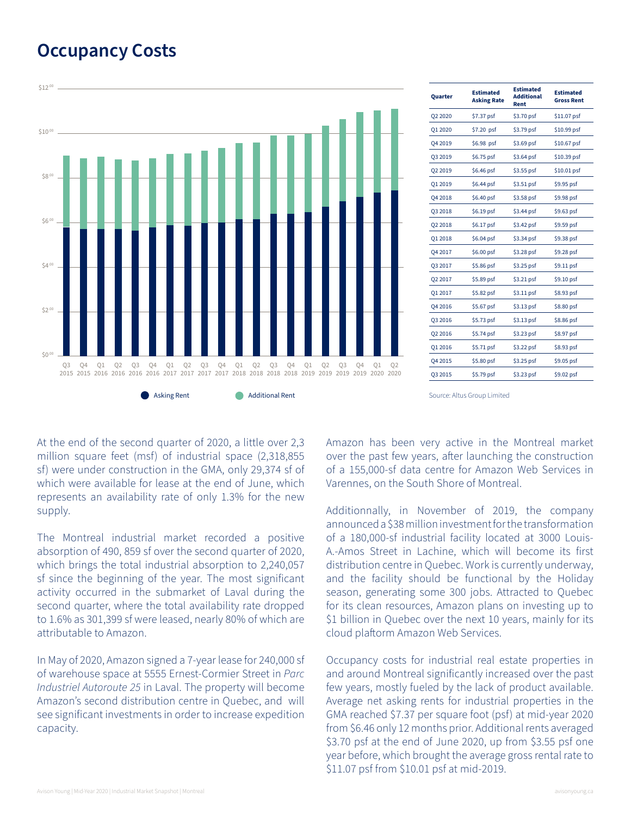### **Occupancy Costs**



| Quarter | Estimated<br><b>Asking Rate</b> | <b>Estimated</b><br><b>Additional</b><br>Rent | <b>Estimated</b><br><b>Gross Rent</b> |
|---------|---------------------------------|-----------------------------------------------|---------------------------------------|
| Q2 2020 | \$7.37 psf                      | \$3.70 psf                                    | \$11.07 psf                           |
| Q1 2020 | \$7.20 psf                      | \$3.79 psf                                    | \$10.99 psf                           |
| Q4 2019 | \$6.98 psf                      | \$3.69 psf                                    | \$10.67 psf                           |
| Q3 2019 | \$6.75 psf                      | $$3.64$ psf                                   | \$10.39 psf                           |
| Q2 2019 | \$6.46 psf                      | \$3.55 psf                                    | \$10.01 psf                           |
| Q1 2019 | \$6.44 psf                      | \$3.51 psf                                    | \$9.95 psf                            |
| Q4 2018 | \$6.40 psf                      | \$3.58 psf                                    | \$9.98 psf                            |
| Q3 2018 | \$6.19 psf                      | \$3.44 psf                                    | \$9.63 psf                            |
| 02 2018 | $$6.17$ psf                     | $$3.42$ psf                                   | \$9.59 psf                            |
| Q1 2018 | \$6.04 psf                      | \$3.34 psf                                    | \$9.38 psf                            |
| Q4 2017 | \$6.00 psf                      | \$3.28 psf                                    | \$9.28 psf                            |
| Q3 2017 | \$5.86 psf                      | \$3.25 psf                                    | \$9.11 psf                            |
| Q2 2017 | \$5.89 psf                      | \$3.21 psf                                    | \$9.10 psf                            |
| Q1 2017 | \$5.82 psf                      | $$3.11$ psf                                   | \$8.93 psf                            |
| Q4 2016 | \$5.67 psf                      | $$3.13$ psf                                   | \$8.80 psf                            |
| Q3 2016 | \$5.73 psf                      | $$3.13$ psf                                   | \$8.86 psf                            |
| Q2 2016 | \$5.74 psf                      | $$3.23$ psf                                   | \$8.97 psf                            |
| Q1 2016 | \$5.71 psf                      | \$3.22 psf                                    | \$8.93 psf                            |
| Q4 2015 | \$5.80 psf                      | \$3.25 psf                                    | \$9.05 psf                            |
| Q3 2015 | \$5.79 psf                      | $$3.23$ psf                                   | \$9.02 psf                            |

At the end of the second quarter of 2020, a little over 2,3 million square feet (msf) of industrial space (2,318,855 sf) were under construction in the GMA, only 29,374 sf of which were available for lease at the end of June, which represents an availability rate of only 1.3% for the new supply.

The Montreal industrial market recorded a positive absorption of 490, 859 sf over the second quarter of 2020, which brings the total industrial absorption to 2,240,057 sf since the beginning of the year. The most significant activity occurred in the submarket of Laval during the second quarter, where the total availability rate dropped to 1.6% as 301,399 sf were leased, nearly 80% of which are attributable to Amazon.

In May of 2020, Amazon signed a 7-year lease for 240,000 sf of warehouse space at 5555 Ernest-Cormier Street in *Parc Industriel Autoroute 25* in Laval. The property will become Amazon's second distribution centre in Quebec, and will see significant investments in order to increase expedition capacity.

Amazon has been very active in the Montreal market over the past few years, after launching the construction of a 155,000-sf data centre for Amazon Web Services in Varennes, on the South Shore of Montreal.

Additionnally, in November of 2019, the company announced a \$38 million investment for the transformation of a 180,000-sf industrial facility located at 3000 Louis-A.-Amos Street in Lachine, which will become its first distribution centre in Quebec. Work is currently underway, and the facility should be functional by the Holiday season, generating some 300 jobs. Attracted to Quebec for its clean resources, Amazon plans on investing up to \$1 billion in Quebec over the next 10 years, mainly for its cloud plaftorm Amazon Web Services.

Occupancy costs for industrial real estate properties in and around Montreal significantly increased over the past few years, mostly fueled by the lack of product available. Average net asking rents for industrial properties in the GMA reached \$7.37 per square foot (psf) at mid-year 2020 from \$6.46 only 12 months prior. Additional rents averaged \$3.70 psf at the end of June 2020, up from \$3.55 psf one year before, which brought the average gross rental rate to \$11.07 psf from \$10.01 psf at mid-2019.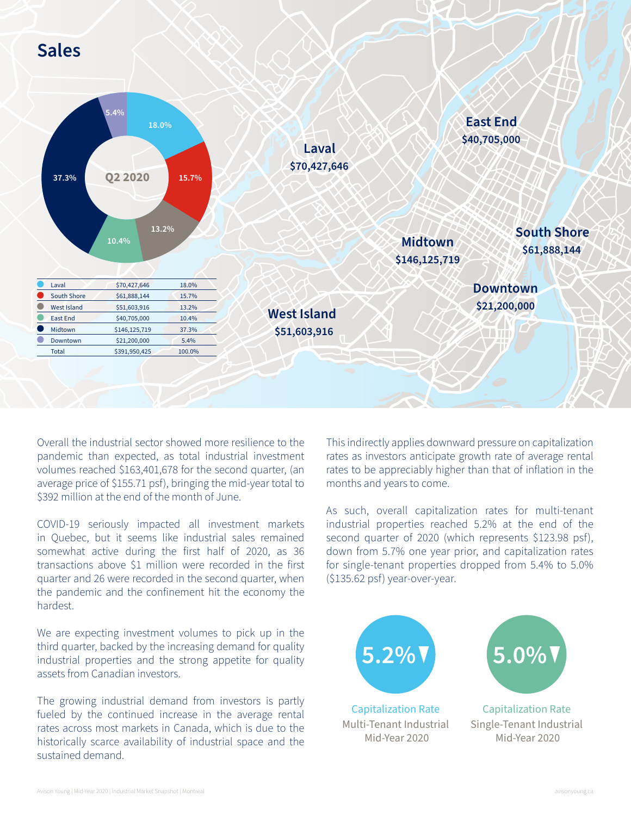## **Sales**



Overall the industrial sector showed more resilience to the pandemic than expected, as total industrial investment volumes reached \$163,401,678 for the second quarter, (an average price of \$155.71 psf), bringing the mid-year total to \$392 million at the end of the month of June.

COVID-19 seriously impacted all investment markets in Quebec, but it seems like industrial sales remained somewhat active during the first half of 2020, as 36 transactions above \$1 million were recorded in the first quarter and 26 were recorded in the second quarter, when the pandemic and the confinement hit the economy the hardest.

We are expecting investment volumes to pick up in the third quarter, backed by the increasing demand for quality industrial properties and the strong appetite for quality assets from Canadian investors.

The growing industrial demand from investors is partly fueled by the continued increase in the average rental rates across most markets in Canada, which is due to the historically scarce availability of industrial space and the sustained demand.

This indirectly applies downward pressure on capitalization rates as investors anticipate growth rate of average rental rates to be appreciably higher than that of inflation in the months and years to come.

As such, overall capitalization rates for multi-tenant industrial properties reached 5.2% at the end of the second quarter of 2020 (which represents \$123.98 psf), down from 5.7% one year prior, and capitalization rates for single-tenant properties dropped from 5.4% to 5.0% (\$135.62 psf) year-over-year.